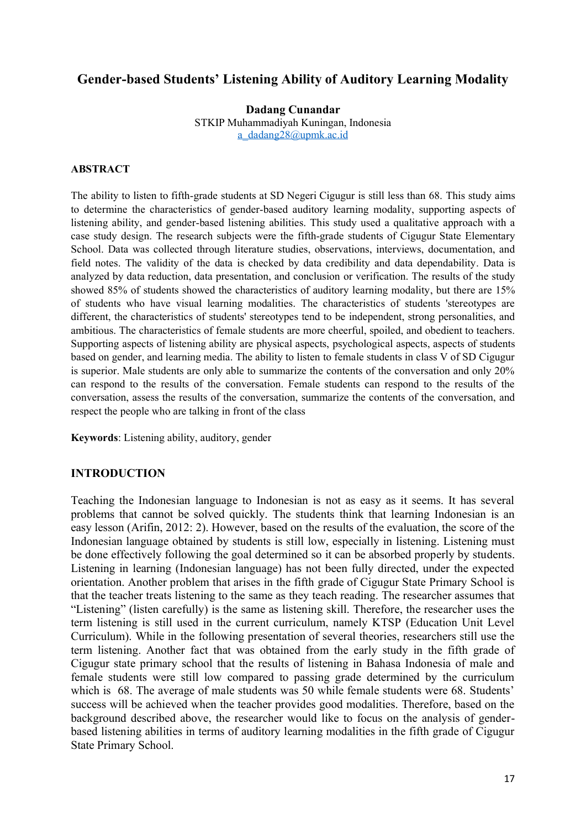# **Gender-based Students' Listening Ability of Auditory Learning Modality**

**Dadang Cunandar** STKIP Muhammadiyah Kuningan, Indonesia [a\\_dadang28@upmk.ac.id](mailto:a_dadang28@upmk.ac.id)

#### **ABSTRACT**

The ability to listen to fifth-grade students at SD Negeri Cigugur is still less than 68. This study aims to determine the characteristics of gender-based auditory learning modality, supporting aspects of listening ability, and gender-based listening abilities. This study used a qualitative approach with a case study design. The research subjects were the fifth-grade students of Cigugur State Elementary School. Data was collected through literature studies, observations, interviews, documentation, and field notes. The validity of the data is checked by data credibility and data dependability. Data is analyzed by data reduction, data presentation, and conclusion or verification. The results of the study showed 85% of students showed the characteristics of auditory learning modality, but there are 15% of students who have visual learning modalities. The characteristics of students 'stereotypes are different, the characteristics of students' stereotypes tend to be independent, strong personalities, and ambitious. The characteristics of female students are more cheerful, spoiled, and obedient to teachers. Supporting aspects of listening ability are physical aspects, psychological aspects, aspects of students based on gender, and learning media. The ability to listen to female students in class V of SD Cigugur is superior. Male students are only able to summarize the contents of the conversation and only 20% can respond to the results of the conversation. Female students can respond to the results of the conversation, assess the results of the conversation, summarize the contents of the conversation, and respect the people who are talking in front of the class

**Keywords**: Listening ability, auditory, gender

## **INTRODUCTION**

Teaching the Indonesian language to Indonesian is not as easy as it seems. It has several problems that cannot be solved quickly. The students think that learning Indonesian is an easy lesson (Arifin, 2012: 2). However, based on the results of the evaluation, the score of the Indonesian language obtained by students is still low, especially in listening. Listening must be done effectively following the goal determined so it can be absorbed properly by students. Listening in learning (Indonesian language) has not been fully directed, under the expected orientation. Another problem that arises in the fifth grade of Cigugur State Primary School is that the teacher treats listening to the same as they teach reading. The researcher assumes that "Listening" (listen carefully) is the same as listening skill. Therefore, the researcher uses the term listening is still used in the current curriculum, namely KTSP (Education Unit Level Curriculum). While in the following presentation of several theories, researchers still use the term listening. Another fact that was obtained from the early study in the fifth grade of Cigugur state primary school that the results of listening in Bahasa Indonesia of male and female students were still low compared to passing grade determined by the curriculum which is 68. The average of male students was 50 while female students were 68. Students' success will be achieved when the teacher provides good modalities. Therefore, based on the background described above, the researcher would like to focus on the analysis of genderbased listening abilities in terms of auditory learning modalities in the fifth grade of Cigugur State Primary School.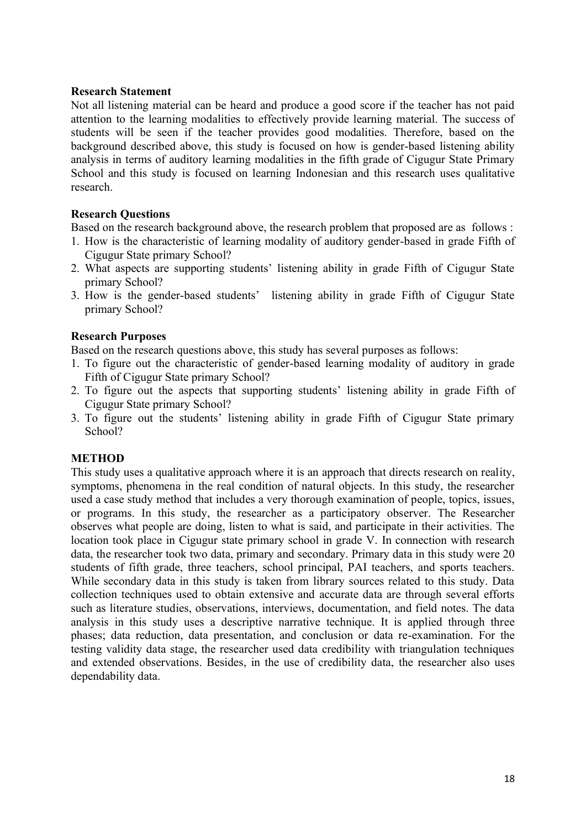### **Research Statement**

Not all listening material can be heard and produce a good score if the teacher has not paid attention to the learning modalities to effectively provide learning material. The success of students will be seen if the teacher provides good modalities. Therefore, based on the background described above, this study is focused on how is gender-based listening ability analysis in terms of auditory learning modalities in the fifth grade of Cigugur State Primary School and this study is focused on learning Indonesian and this research uses qualitative research.

## **Research Questions**

Based on the research background above, the research problem that proposed are as follows :

- 1. How is the characteristic of learning modality of auditory gender-based in grade Fifth of Cigugur State primary School?
- 2. What aspects are supporting students' listening ability in grade Fifth of Cigugur State primary School?
- 3. How is the gender-based students' listening ability in grade Fifth of Cigugur State primary School?

### **Research Purposes**

Based on the research questions above, this study has several purposes as follows:

- 1. To figure out the characteristic of gender-based learning modality of auditory in grade Fifth of Cigugur State primary School?
- 2. To figure out the aspects that supporting students' listening ability in grade Fifth of Cigugur State primary School?
- 3. To figure out the students' listening ability in grade Fifth of Cigugur State primary School?

#### **METHOD**

This study uses a qualitative approach where it is an approach that directs research on reality, symptoms, phenomena in the real condition of natural objects. In this study, the researcher used a case study method that includes a very thorough examination of people, topics, issues, or programs. In this study, the researcher as a participatory observer. The Researcher observes what people are doing, listen to what is said, and participate in their activities. The location took place in Cigugur state primary school in grade V. In connection with research data, the researcher took two data, primary and secondary. Primary data in this study were 20 students of fifth grade, three teachers, school principal, PAI teachers, and sports teachers. While secondary data in this study is taken from library sources related to this study. Data collection techniques used to obtain extensive and accurate data are through several efforts such as literature studies, observations, interviews, documentation, and field notes. The data analysis in this study uses a descriptive narrative technique. It is applied through three phases; data reduction, data presentation, and conclusion or data re-examination. For the testing validity data stage, the researcher used data credibility with triangulation techniques and extended observations. Besides, in the use of credibility data, the researcher also uses dependability data.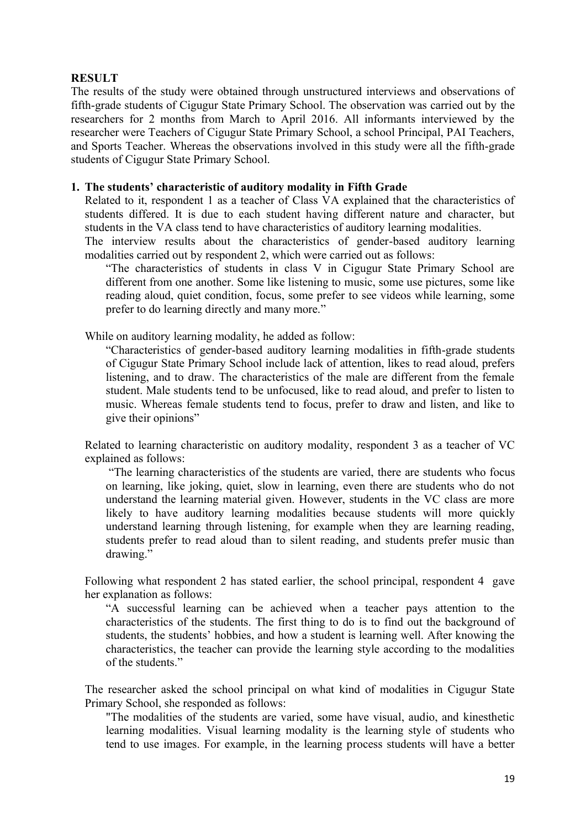## **RESULT**

The results of the study were obtained through unstructured interviews and observations of fifth-grade students of Cigugur State Primary School. The observation was carried out by the researchers for 2 months from March to April 2016. All informants interviewed by the researcher were Teachers of Cigugur State Primary School, a school Principal, PAI Teachers, and Sports Teacher. Whereas the observations involved in this study were all the fifth-grade students of Cigugur State Primary School.

### **1. The students' characteristic of auditory modality in Fifth Grade**

Related to it, respondent 1 as a teacher of Class VA explained that the characteristics of students differed. It is due to each student having different nature and character, but students in the VA class tend to have characteristics of auditory learning modalities.

The interview results about the characteristics of gender-based auditory learning modalities carried out by respondent 2, which were carried out as follows:

"The characteristics of students in class V in Cigugur State Primary School are different from one another. Some like listening to music, some use pictures, some like reading aloud, quiet condition, focus, some prefer to see videos while learning, some prefer to do learning directly and many more."

While on auditory learning modality, he added as follow:

"Characteristics of gender-based auditory learning modalities in fifth-grade students of Cigugur State Primary School include lack of attention, likes to read aloud, prefers listening, and to draw. The characteristics of the male are different from the female student. Male students tend to be unfocused, like to read aloud, and prefer to listen to music. Whereas female students tend to focus, prefer to draw and listen, and like to give their opinions"

Related to learning characteristic on auditory modality, respondent 3 as a teacher of VC explained as follows:

"The learning characteristics of the students are varied, there are students who focus on learning, like joking, quiet, slow in learning, even there are students who do not understand the learning material given. However, students in the VC class are more likely to have auditory learning modalities because students will more quickly understand learning through listening, for example when they are learning reading, students prefer to read aloud than to silent reading, and students prefer music than drawing."

Following what respondent 2 has stated earlier, the school principal, respondent 4 gave her explanation as follows:

"A successful learning can be achieved when a teacher pays attention to the characteristics of the students. The first thing to do is to find out the background of students, the students' hobbies, and how a student is learning well. After knowing the characteristics, the teacher can provide the learning style according to the modalities of the students."

The researcher asked the school principal on what kind of modalities in Cigugur State Primary School, she responded as follows:

"The modalities of the students are varied, some have visual, audio, and kinesthetic learning modalities. Visual learning modality is the learning style of students who tend to use images. For example, in the learning process students will have a better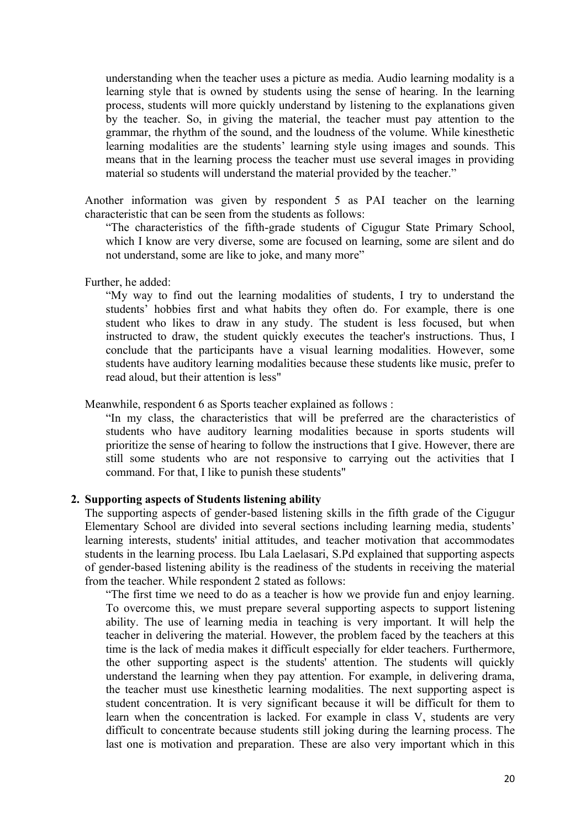understanding when the teacher uses a picture as media. Audio learning modality is a learning style that is owned by students using the sense of hearing. In the learning process, students will more quickly understand by listening to the explanations given by the teacher. So, in giving the material, the teacher must pay attention to the grammar, the rhythm of the sound, and the loudness of the volume. While kinesthetic learning modalities are the students' learning style using images and sounds. This means that in the learning process the teacher must use several images in providing material so students will understand the material provided by the teacher."

Another information was given by respondent 5 as PAI teacher on the learning characteristic that can be seen from the students as follows:

"The characteristics of the fifth-grade students of Cigugur State Primary School, which I know are very diverse, some are focused on learning, some are silent and do not understand, some are like to joke, and many more"

Further, he added:

"My way to find out the learning modalities of students, I try to understand the students' hobbies first and what habits they often do. For example, there is one student who likes to draw in any study. The student is less focused, but when instructed to draw, the student quickly executes the teacher's instructions. Thus, I conclude that the participants have a visual learning modalities. However, some students have auditory learning modalities because these students like music, prefer to read aloud, but their attention is less"

Meanwhile, respondent 6 as Sports teacher explained as follows :

"In my class, the characteristics that will be preferred are the characteristics of students who have auditory learning modalities because in sports students will prioritize the sense of hearing to follow the instructions that I give. However, there are still some students who are not responsive to carrying out the activities that I command. For that, I like to punish these students"

#### **2. Supporting aspects of Students listening ability**

The supporting aspects of gender-based listening skills in the fifth grade of the Cigugur Elementary School are divided into several sections including learning media, students' learning interests, students' initial attitudes, and teacher motivation that accommodates students in the learning process. Ibu Lala Laelasari, S.Pd explained that supporting aspects of gender-based listening ability is the readiness of the students in receiving the material from the teacher. While respondent 2 stated as follows:

"The first time we need to do as a teacher is how we provide fun and enjoy learning. To overcome this, we must prepare several supporting aspects to support listening ability. The use of learning media in teaching is very important. It will help the teacher in delivering the material. However, the problem faced by the teachers at this time is the lack of media makes it difficult especially for elder teachers. Furthermore, the other supporting aspect is the students' attention. The students will quickly understand the learning when they pay attention. For example, in delivering drama, the teacher must use kinesthetic learning modalities. The next supporting aspect is student concentration. It is very significant because it will be difficult for them to learn when the concentration is lacked. For example in class V, students are very difficult to concentrate because students still joking during the learning process. The last one is motivation and preparation. These are also very important which in this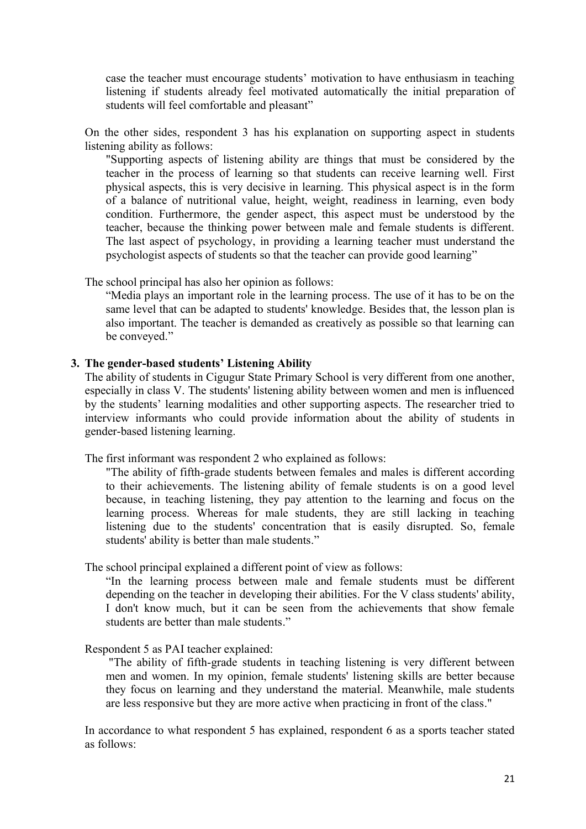case the teacher must encourage students' motivation to have enthusiasm in teaching listening if students already feel motivated automatically the initial preparation of students will feel comfortable and pleasant"

On the other sides, respondent 3 has his explanation on supporting aspect in students listening ability as follows:

"Supporting aspects of listening ability are things that must be considered by the teacher in the process of learning so that students can receive learning well. First physical aspects, this is very decisive in learning. This physical aspect is in the form of a balance of nutritional value, height, weight, readiness in learning, even body condition. Furthermore, the gender aspect, this aspect must be understood by the teacher, because the thinking power between male and female students is different. The last aspect of psychology, in providing a learning teacher must understand the psychologist aspects of students so that the teacher can provide good learning"

The school principal has also her opinion as follows:

"Media plays an important role in the learning process. The use of it has to be on the same level that can be adapted to students' knowledge. Besides that, the lesson plan is also important. The teacher is demanded as creatively as possible so that learning can be conveyed."

#### **3. The gender-based students' Listening Ability**

The ability of students in Cigugur State Primary School is very different from one another, especially in class V. The students' listening ability between women and men is influenced by the students' learning modalities and other supporting aspects. The researcher tried to interview informants who could provide information about the ability of students in gender-based listening learning.

The first informant was respondent 2 who explained as follows:

"The ability of fifth-grade students between females and males is different according to their achievements. The listening ability of female students is on a good level because, in teaching listening, they pay attention to the learning and focus on the learning process. Whereas for male students, they are still lacking in teaching listening due to the students' concentration that is easily disrupted. So, female students' ability is better than male students."

The school principal explained a different point of view as follows:

"In the learning process between male and female students must be different depending on the teacher in developing their abilities. For the V class students' ability, I don't know much, but it can be seen from the achievements that show female students are better than male students."

#### Respondent 5 as PAI teacher explained:

"The ability of fifth-grade students in teaching listening is very different between men and women. In my opinion, female students' listening skills are better because they focus on learning and they understand the material. Meanwhile, male students are less responsive but they are more active when practicing in front of the class."

In accordance to what respondent 5 has explained, respondent 6 as a sports teacher stated as follows: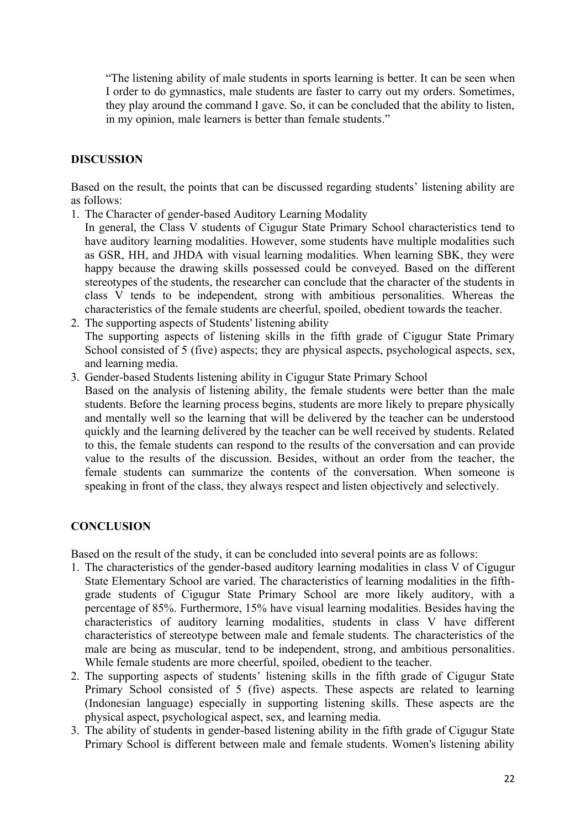"The listening ability of male students in sports learning is better. It can be seen when I order to do gymnastics, male students are faster to carry out my orders. Sometimes, they play around the command I gave. So, it can be concluded that the ability to listen, in my opinion, male learners is better than female students."

## **DISCUSSION**

Based on the result, the points that can be discussed regarding students' listening ability are as follows:

- 1. The Character of gender-based Auditory Learning Modality
- In general, the Class V students of Cigugur State Primary School characteristics tend to have auditory learning modalities. However, some students have multiple modalities such as GSR, HH, and JHDA with visual learning modalities. When learning SBK, they were happy because the drawing skills possessed could be conveyed. Based on the different stereotypes of the students, the researcher can conclude that the character of the students in class V tends to be independent, strong with ambitious personalities. Whereas the characteristics of the female students are cheerful, spoiled, obedient towards the teacher.
- 2. The supporting aspects of Students' listening ability The supporting aspects of listening skills in the fifth grade of Cigugur State Primary School consisted of 5 (five) aspects; they are physical aspects, psychological aspects, sex, and learning media.
- 3. Gender-based Students listening ability in Cigugur State Primary School Based on the analysis of listening ability, the female students were better than the male students. Before the learning process begins, students are more likely to prepare physically and mentally well so the learning that will be delivered by the teacher can be understood quickly and the learning delivered by the teacher can be well received by students. Related to this, the female students can respond to the results of the conversation and can provide value to the results of the discussion. Besides, without an order from the teacher, the female students can summarize the contents of the conversation. When someone is speaking in front of the class, they always respect and listen objectively and selectively.

## **CONCLUSION**

Based on the result of the study, it can be concluded into several points are as follows:

- 1. The characteristics of the gender-based auditory learning modalities in class V of Cigugur State Elementary School are varied. The characteristics of learning modalities in the fifthgrade students of Cigugur State Primary School are more likely auditory, with a percentage of 85%. Furthermore, 15% have visual learning modalities. Besides having the characteristics of auditory learning modalities, students in class V have different characteristics of stereotype between male and female students. The characteristics of the male are being as muscular, tend to be independent, strong, and ambitious personalities. While female students are more cheerful, spoiled, obedient to the teacher.
- 2. The supporting aspects of students' listening skills in the fifth grade of Cigugur State Primary School consisted of 5 (five) aspects. These aspects are related to learning (Indonesian language) especially in supporting listening skills. These aspects are the physical aspect, psychological aspect, sex, and learning media.
- 3. The ability of students in gender-based listening ability in the fifth grade of Cigugur State Primary School is different between male and female students. Women's listening ability